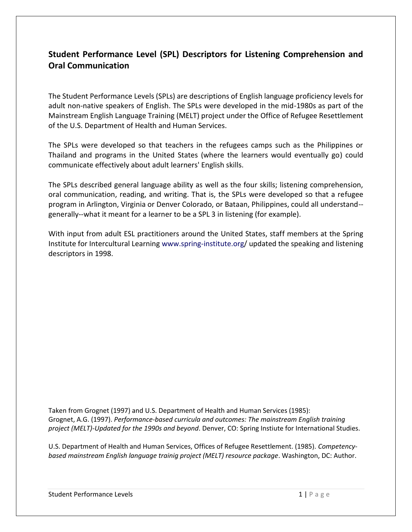## **Student Performance Level (SPL) Descriptors for Listening Comprehension and Oral Communication**

The Student Performance Levels (SPLs) are descriptions of English language proficiency levels for adult non-native speakers of English. The SPLs were developed in the mid-1980s as part of the Mainstream English Language Training (MELT) project under the Office of Refugee Resettlement of the U.S. Department of Health and Human Services.

The SPLs were developed so that teachers in the refugees camps such as the Philippines or Thailand and programs in the United States (where the learners would eventually go) could communicate effectively about adult learners' English skills.

The SPLs described general language ability as well as the four skills; listening comprehension, oral communication, reading, and writing. That is, the SPLs were developed so that a refugee program in Arlington, Virginia or Denver Colorado, or Bataan, Philippines, could all understand- generally--what it meant for a learner to be a SPL 3 in listening (for example).

With input from adult ESL practitioners around the United States, staff members at the Spring Institute for Intercultural Learning [www.spring-institute.org/](http://www.spring-institute.org/) updated the speaking and listening descriptors in 1998.

Taken from Grognet (1997) and U.S. Department of Health and Human Services (1985): Grognet, A.G. (1997). *Performance-based curricula and outcomes: The mainstream English training project (MELT)-Updated for the 1990s and beyond*. Denver, CO: Spring Instiute for International Studies.

U.S. Department of Health and Human Services, Offices of Refugee Resettlement. (1985). *Competencybased mainstream English language trainig project (MELT) resource package*. Washington, DC: Author.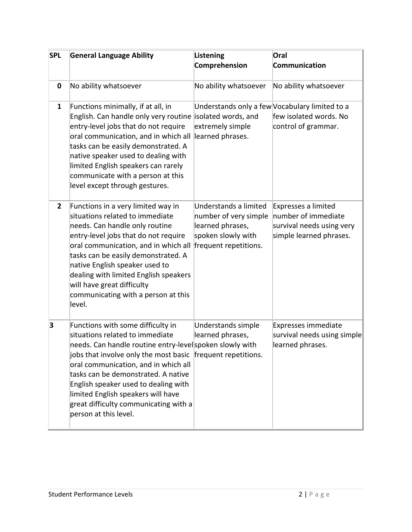| <b>SPL</b>     | <b>General Language Ability</b>                                                                                                                                                                                                                                                                                                                                                                                                | <b>Listening</b><br>Comprehension                                                                                 | Oral<br>Communication                                                                              |
|----------------|--------------------------------------------------------------------------------------------------------------------------------------------------------------------------------------------------------------------------------------------------------------------------------------------------------------------------------------------------------------------------------------------------------------------------------|-------------------------------------------------------------------------------------------------------------------|----------------------------------------------------------------------------------------------------|
| $\pmb{0}$      | No ability whatsoever                                                                                                                                                                                                                                                                                                                                                                                                          | No ability whatsoever                                                                                             | No ability whatsoever                                                                              |
| $\mathbf{1}$   | Functions minimally, if at all, in<br>English. Can handle only very routine<br>entry-level jobs that do not require<br>oral communication, and in which all<br>tasks can be easily demonstrated. A<br>native speaker used to dealing with<br>limited English speakers can rarely<br>communicate with a person at this<br>level except through gestures.                                                                        | Understands only a few Vocabulary limited to a<br>isolated words, and<br>extremely simple<br>learned phrases.     | few isolated words. No<br>control of grammar.                                                      |
| $\overline{2}$ | Functions in a very limited way in<br>situations related to immediate<br>needs. Can handle only routine<br>entry-level jobs that do not require<br>oral communication, and in which all<br>tasks can be easily demonstrated. A<br>native English speaker used to<br>dealing with limited English speakers<br>will have great difficulty<br>communicating with a person at this<br>level.                                       | Understands a limited<br>number of very simple<br>learned phrases,<br>spoken slowly with<br>frequent repetitions. | Expresses a limited<br>number of immediate<br>survival needs using very<br>simple learned phrases. |
| 3              | Functions with some difficulty in<br>situations related to immediate<br>needs. Can handle routine entry-level spoken slowly with<br>jobs that involve only the most basic frequent repetitions.<br>oral communication, and in which all<br>tasks can be demonstrated. A native<br>English speaker used to dealing with<br>limited English speakers will have<br>great difficulty communicating with a<br>person at this level. | Understands simple<br>learned phrases,                                                                            | Expresses immediate<br>survival needs using simple<br>learned phrases.                             |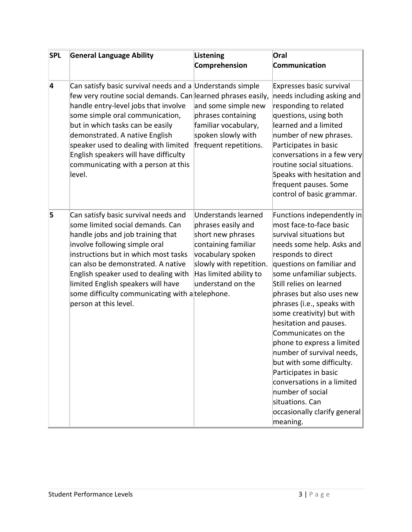| <b>SPL</b>     | <b>General Language Ability</b>                                                                                                                                                                                                                                                                                                                                                                              | <b>Listening</b><br>Comprehension                                                                                                                                                    | Oral<br>Communication                                                                                                                                                                                                                                                                                                                                                                                                                                                                                                                                                                               |
|----------------|--------------------------------------------------------------------------------------------------------------------------------------------------------------------------------------------------------------------------------------------------------------------------------------------------------------------------------------------------------------------------------------------------------------|--------------------------------------------------------------------------------------------------------------------------------------------------------------------------------------|-----------------------------------------------------------------------------------------------------------------------------------------------------------------------------------------------------------------------------------------------------------------------------------------------------------------------------------------------------------------------------------------------------------------------------------------------------------------------------------------------------------------------------------------------------------------------------------------------------|
| $\overline{4}$ | Can satisfy basic survival needs and a Understands simple<br>few very routine social demands. Can learned phrases easily,<br>handle entry-level jobs that involve<br>some simple oral communication,<br>but in which tasks can be easily<br>demonstrated. A native English<br>speaker used to dealing with limited<br>English speakers will have difficulty<br>communicating with a person at this<br>level. | and some simple new<br>phrases containing<br>familiar vocabulary,<br>spoken slowly with<br>frequent repetitions.                                                                     | Expresses basic survival<br>needs including asking and<br>responding to related<br>questions, using both<br>learned and a limited<br>number of new phrases.<br>Participates in basic<br>conversations in a few very<br>routine social situations.<br>Speaks with hesitation and<br>frequent pauses. Some<br>control of basic grammar.                                                                                                                                                                                                                                                               |
| 5              | Can satisfy basic survival needs and<br>some limited social demands. Can<br>handle jobs and job training that<br>involve following simple oral<br>instructions but in which most tasks<br>can also be demonstrated. A native<br>English speaker used to dealing with<br>limited English speakers will have<br>some difficulty communicating with a telephone.<br>person at this level.                       | Understands learned<br>phrases easily and<br>short new phrases<br>containing familiar<br>vocabulary spoken<br>slowly with repetition.<br>Has limited ability to<br>understand on the | Functions independently in<br>most face-to-face basic<br>survival situations but<br>needs some help. Asks and<br>responds to direct<br>questions on familiar and<br>some unfamiliar subjects.<br>Still relies on learned<br>phrases but also uses new<br>phrases (i.e., speaks with<br>some creativity) but with<br>hesitation and pauses.<br>Communicates on the<br>phone to express a limited<br>number of survival needs,<br>but with some difficulty.<br>Participates in basic<br>conversations in a limited<br>number of social<br>situations. Can<br>occasionally clarify general<br>meaning. |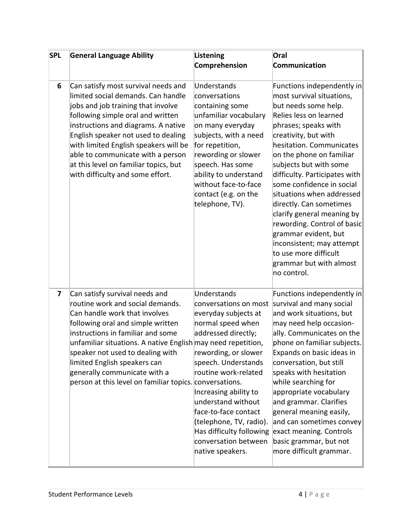| <b>SPL</b>              | <b>General Language Ability</b>                                                                                                                                                                                                                                                                                                                                                                              | <b>Listening</b>                                                                                                                                                                                                                                                                                                                                          | Oral                                                                                                                                                                                                                                                                                                                                                                                                                                                                                                                                                   |
|-------------------------|--------------------------------------------------------------------------------------------------------------------------------------------------------------------------------------------------------------------------------------------------------------------------------------------------------------------------------------------------------------------------------------------------------------|-----------------------------------------------------------------------------------------------------------------------------------------------------------------------------------------------------------------------------------------------------------------------------------------------------------------------------------------------------------|--------------------------------------------------------------------------------------------------------------------------------------------------------------------------------------------------------------------------------------------------------------------------------------------------------------------------------------------------------------------------------------------------------------------------------------------------------------------------------------------------------------------------------------------------------|
|                         |                                                                                                                                                                                                                                                                                                                                                                                                              | Comprehension                                                                                                                                                                                                                                                                                                                                             | Communication                                                                                                                                                                                                                                                                                                                                                                                                                                                                                                                                          |
| 6                       | Can satisfy most survival needs and<br>limited social demands. Can handle<br>jobs and job training that involve<br>following simple oral and written<br>instructions and diagrams. A native<br>English speaker not used to dealing<br>with limited English speakers will be<br>able to communicate with a person<br>at this level on familiar topics, but<br>with difficulty and some effort.                | Understands<br>conversations<br>containing some<br>unfamiliar vocabulary<br>on many everyday<br>subjects, with a need<br>for repetition,<br>rewording or slower<br>speech. Has some<br>ability to understand<br>without face-to-face<br>contact (e.g. on the<br>telephone, TV).                                                                           | Functions independently in<br>most survival situations,<br>but needs some help.<br>Relies less on learned<br>phrases; speaks with<br>creativity, but with<br>hesitation. Communicates<br>on the phone on familiar<br>subjects but with some<br>difficulty. Participates with<br>some confidence in social<br>situations when addressed<br>directly. Can sometimes<br>clarify general meaning by<br>rewording. Control of basic<br>grammar evident, but<br>inconsistent; may attempt<br>to use more difficult<br>grammar but with almost<br>no control. |
| $\overline{\mathbf{z}}$ | Can satisfy survival needs and<br>routine work and social demands.<br>Can handle work that involves<br>following oral and simple written<br>instructions in familiar and some<br>unfamiliar situations. A native English may need repetition,<br>speaker not used to dealing with<br>limited English speakers can<br>generally communicate with a<br>person at this level on familiar topics. conversations. | Understands<br>conversations on most<br>everyday subjects at<br>normal speed when<br>addressed directly;<br>rewording, or slower<br>speech. Understands<br>routine work-related<br>Increasing ability to<br>understand without<br>face-to-face contact<br>(telephone, TV, radio).<br>Has difficulty following<br>conversation between<br>native speakers. | Functions independently in<br>survival and many social<br>and work situations, but<br>may need help occasion-<br>ally. Communicates on the<br>phone on familiar subjects.<br>Expands on basic ideas in<br>conversation, but still<br>speaks with hesitation<br>while searching for<br>appropriate vocabulary<br>and grammar. Clarifies<br>general meaning easily,<br>and can sometimes convey<br>exact meaning. Controls<br>basic grammar, but not<br>more difficult grammar.                                                                          |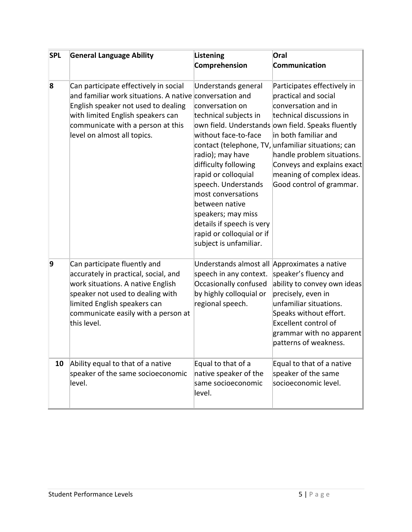| <b>SPL</b> | <b>General Language Ability</b>                                                                                                                                                                                                                  | <b>Listening</b><br>Comprehension                                                                                                                                                                                                                                                                                                   | Oral<br>Communication                                                                                                                                                                                                                                                                                                                                          |
|------------|--------------------------------------------------------------------------------------------------------------------------------------------------------------------------------------------------------------------------------------------------|-------------------------------------------------------------------------------------------------------------------------------------------------------------------------------------------------------------------------------------------------------------------------------------------------------------------------------------|----------------------------------------------------------------------------------------------------------------------------------------------------------------------------------------------------------------------------------------------------------------------------------------------------------------------------------------------------------------|
| 8          | Can participate effectively in social<br>and familiar work situations. A native conversation and<br>English speaker not used to dealing<br>with limited English speakers can<br>communicate with a person at this<br>level on almost all topics. | Understands general<br>conversation on<br>technical subjects in<br>without face-to-face<br>radio); may have<br>difficulty following<br>rapid or colloquial<br>speech. Understands<br>most conversations<br>between native<br>speakers; may miss<br>details if speech is very<br>rapid or colloquial or if<br>subject is unfamiliar. | Participates effectively in<br>practical and social<br>conversation and in<br>technical discussions in<br>own field. Understands own field. Speaks fluently<br>in both familiar and<br>contact (telephone, TV, unfamiliar situations; can<br>handle problem situations.<br>Conveys and explains exact<br>meaning of complex ideas.<br>Good control of grammar. |
| 9          | Can participate fluently and<br>accurately in practical, social, and<br>work situations. A native English<br>speaker not used to dealing with<br>limited English speakers can<br>communicate easily with a person at<br>this level.              | Understands almost all Approximates a native<br>speech in any context.<br>Occasionally confused<br>by highly colloquial or<br>regional speech.                                                                                                                                                                                      | speaker's fluency and<br>ability to convey own ideas<br>precisely, even in<br>unfamiliar situations.<br>Speaks without effort.<br><b>Excellent control of</b><br>grammar with no apparent<br>patterns of weakness.                                                                                                                                             |
| 10         | Ability equal to that of a native<br>speaker of the same socioeconomic<br>level.                                                                                                                                                                 | Equal to that of a<br>native speaker of the<br>same socioeconomic<br>level.                                                                                                                                                                                                                                                         | Equal to that of a native<br>speaker of the same<br>socioeconomic level.                                                                                                                                                                                                                                                                                       |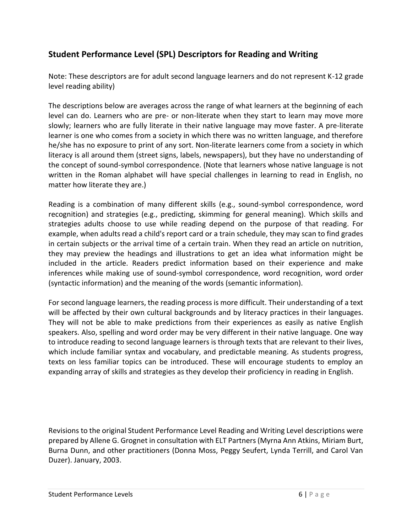# **Student Performance Level (SPL) Descriptors for Reading and Writing**

Note: These descriptors are for adult second language learners and do not represent K-12 grade level reading ability)

The descriptions below are averages across the range of what learners at the beginning of each level can do. Learners who are pre- or non-literate when they start to learn may move more slowly; learners who are fully literate in their native language may move faster. A pre-literate learner is one who comes from a society in which there was no written language, and therefore he/she has no exposure to print of any sort. Non-literate learners come from a society in which literacy is all around them (street signs, labels, newspapers), but they have no understanding of the concept of sound-symbol correspondence. (Note that learners whose native language is not written in the Roman alphabet will have special challenges in learning to read in English, no matter how literate they are.)

Reading is a combination of many different skills (e.g., sound-symbol correspondence, word recognition) and strategies (e.g., predicting, skimming for general meaning). Which skills and strategies adults choose to use while reading depend on the purpose of that reading. For example, when adults read a child's report card or a train schedule, they may scan to find grades in certain subjects or the arrival time of a certain train. When they read an article on nutrition, they may preview the headings and illustrations to get an idea what information might be included in the article. Readers predict information based on their experience and make inferences while making use of sound-symbol correspondence, word recognition, word order (syntactic information) and the meaning of the words (semantic information).

For second language learners, the reading process is more difficult. Their understanding of a text will be affected by their own cultural backgrounds and by literacy practices in their languages. They will not be able to make predictions from their experiences as easily as native English speakers. Also, spelling and word order may be very different in their native language. One way to introduce reading to second language learners is through texts that are relevant to their lives, which include familiar syntax and vocabulary, and predictable meaning. As students progress, texts on less familiar topics can be introduced. These will encourage students to employ an expanding array of skills and strategies as they develop their proficiency in reading in English.

Revisions to the original Student Performance Level Reading and Writing Level descriptions were prepared by Allene G. Grognet in consultation with ELT Partners (Myrna Ann Atkins, Miriam Burt, Burna Dunn, and other practitioners (Donna Moss, Peggy Seufert, Lynda Terrill, and Carol Van Duzer). January, 2003.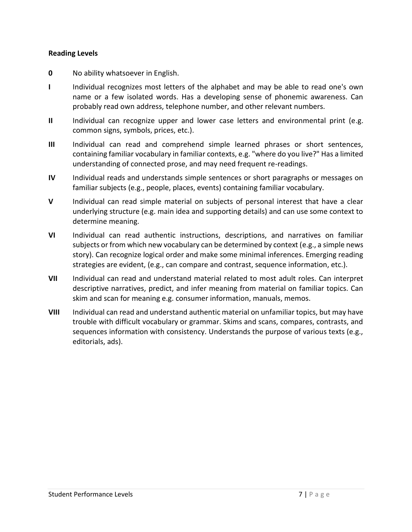#### **Reading Levels**

- **0** No ability whatsoever in English.
- **I** Individual recognizes most letters of the alphabet and may be able to read one's own name or a few isolated words. Has a developing sense of phonemic awareness. Can probably read own address, telephone number, and other relevant numbers.
- **II** Individual can recognize upper and lower case letters and environmental print (e.g. common signs, symbols, prices, etc.).
- **III** Individual can read and comprehend simple learned phrases or short sentences, containing familiar vocabulary in familiar contexts, e.g. "where do you live?" Has a limited understanding of connected prose, and may need frequent re-readings.
- **IV** Individual reads and understands simple sentences or short paragraphs or messages on familiar subjects (e.g., people, places, events) containing familiar vocabulary.
- **V** Individual can read simple material on subjects of personal interest that have a clear underlying structure (e.g. main idea and supporting details) and can use some context to determine meaning.
- **VI** Individual can read authentic instructions, descriptions, and narratives on familiar subjects or from which new vocabulary can be determined by context (e.g., a simple news story). Can recognize logical order and make some minimal inferences. Emerging reading strategies are evident, (e.g., can compare and contrast, sequence information, etc.).
- **VII** Individual can read and understand material related to most adult roles. Can interpret descriptive narratives, predict, and infer meaning from material on familiar topics. Can skim and scan for meaning e.g. consumer information, manuals, memos.
- **VIII** Individual can read and understand authentic material on unfamiliar topics, but may have trouble with difficult vocabulary or grammar. Skims and scans, compares, contrasts, and sequences information with consistency. Understands the purpose of various texts (e.g., editorials, ads).